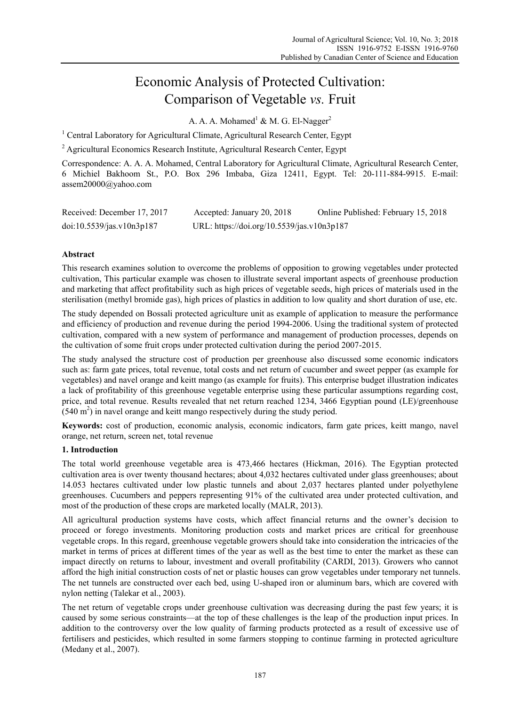# Economic Analysis of Protected Cultivation: Comparison of Vegetable *vs.* Fruit

A. A. A. Mohamed<sup>1</sup> & M. G. El-Nagger<sup>2</sup>

<sup>1</sup> Central Laboratory for Agricultural Climate, Agricultural Research Center, Egypt

<sup>2</sup> Agricultural Economics Research Institute, Agricultural Research Center, Egypt

Correspondence: A. A. A. Mohamed, Central Laboratory for Agricultural Climate, Agricultural Research Center, 6 Michiel Bakhoom St., P.O. Box 296 Imbaba, Giza 12411, Egypt. Tel: 20-111-884-9915. E-mail: assem20000@yahoo.com

| Received: December 17, 2017 | Accepted: January 20, 2018                 | Online Published: February 15, 2018 |
|-----------------------------|--------------------------------------------|-------------------------------------|
| doi:10.5539/jas.v10n3p187   | URL: https://doi.org/10.5539/jas.v10n3p187 |                                     |

# **Abstract**

This research examines solution to overcome the problems of opposition to growing vegetables under protected cultivation, This particular example was chosen to illustrate several important aspects of greenhouse production and marketing that affect profitability such as high prices of vegetable seeds, high prices of materials used in the sterilisation (methyl bromide gas), high prices of plastics in addition to low quality and short duration of use, etc.

The study depended on Bossali protected agriculture unit as example of application to measure the performance and efficiency of production and revenue during the period 1994-2006. Using the traditional system of protected cultivation, compared with a new system of performance and management of production processes, depends on the cultivation of some fruit crops under protected cultivation during the period 2007-2015.

The study analysed the structure cost of production per greenhouse also discussed some economic indicators such as: farm gate prices, total revenue, total costs and net return of cucumber and sweet pepper (as example for vegetables) and navel orange and keitt mango (as example for fruits). This enterprise budget illustration indicates a lack of profitability of this greenhouse vegetable enterprise using these particular assumptions regarding cost, price, and total revenue. Results revealed that net return reached 1234, 3466 Egyptian pound (LE)/greenhouse  $(540 \text{ m}^2)$  in navel orange and keitt mango respectively during the study period.

**Keywords:** cost of production, economic analysis, economic indicators, farm gate prices, keitt mango, navel orange, net return, screen net, total revenue

# **1. Introduction**

The total world greenhouse vegetable area is 473,466 hectares (Hickman, 2016). The Egyptian protected cultivation area is over twenty thousand hectares; about 4,032 hectares cultivated under glass greenhouses; about 14.053 hectares cultivated under low plastic tunnels and about 2,037 hectares planted under polyethylene greenhouses. Cucumbers and peppers representing 91% of the cultivated area under protected cultivation, and most of the production of these crops are marketed locally (MALR, 2013).

All agricultural production systems have costs, which affect financial returns and the owner's decision to proceed or forego investments. Monitoring production costs and market prices are critical for greenhouse vegetable crops. In this regard, greenhouse vegetable growers should take into consideration the intricacies of the market in terms of prices at different times of the year as well as the best time to enter the market as these can impact directly on returns to labour, investment and overall profitability (CARDI, 2013). Growers who cannot afford the high initial construction costs of net or plastic houses can grow vegetables under temporary net tunnels. The net tunnels are constructed over each bed, using U-shaped iron or aluminum bars, which are covered with nylon netting (Talekar et al., 2003).

The net return of vegetable crops under greenhouse cultivation was decreasing during the past few years; it is caused by some serious constraints—at the top of these challenges is the leap of the production input prices. In addition to the controversy over the low quality of farming products protected as a result of excessive use of fertilisers and pesticides, which resulted in some farmers stopping to continue farming in protected agriculture (Medany et al., 2007).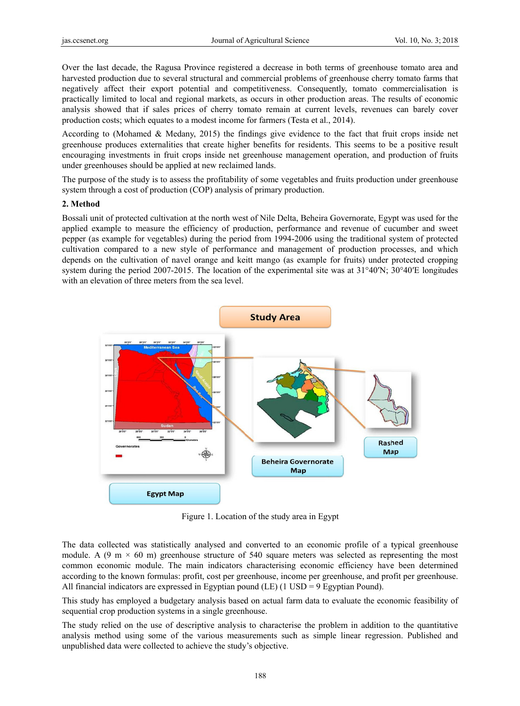Over the last decade, the Ragusa Province registered a decrease in both terms of greenhouse tomato area and harvested production due to several structural and commercial problems of greenhouse cherry tomato farms that negatively affect their export potential and competitiveness. Consequently, tomato commercialisation is practically limited to local and regional markets, as occurs in other production areas. The results of economic analysis showed that if sales prices of cherry tomato remain at current levels, revenues can barely cover production costs; which equates to a modest income for farmers (Testa et al., 2014).

According to (Mohamed & Medany, 2015) the findings give evidence to the fact that fruit crops inside net greenhouse produces externalities that create higher benefits for residents. This seems to be a positive result encouraging investments in fruit crops inside net greenhouse management operation, and production of fruits under greenhouses should be applied at new reclaimed lands.

The purpose of the study is to assess the profitability of some vegetables and fruits production under greenhouse system through a cost of production (COP) analysis of primary production.

#### **2. Method d**

Bossali unit of protected cultivation at the north west of Nile Delta, Beheira Governorate, Egypt was used for the applied example to measure the efficiency of production, performance and revenue of cucumber and sweet pepper (as example for vegetables) during the period from 1994-2006 using the traditional system of protected cultivation compared to a new style of performance and management of production processes, and which depends on the cultivation of navel orange and keitt mango (as example for fruits) under protected cropping system during the period 2007-2015. The location of the experimental site was at  $31^{\circ}40'N$ ;  $30^{\circ}40'E$  longitudes with an elevation of three meters from the sea level.



Figure 1. Location of the study area in Egypt

The data collected was statistically analysed and converted to an economic profile of a typical greenhouse module. A (9 m  $\times$  60 m) greenhouse structure of 540 square meters was selected as representing the most common economic module. The main indicators characterising economic efficiency have been determined according to the known formulas: profit, cost per greenhouse, income per greenhouse, and profit per greenhouse. All financial indicators are expressed in Egyptian pound  $(LE)$  (1 USD = 9 Egyptian Pound).

This study has employed a budgetary analysis based on actual farm data to evaluate the economic feasibility of sequential crop production systems in a single greenhouse.

The study relied on the use of descriptive analysis to characterise the problem in addition to the quantitative analysis method using some of the various measurements such as simple linear regression. Published and unpublished data were collected to achieve the study's objective.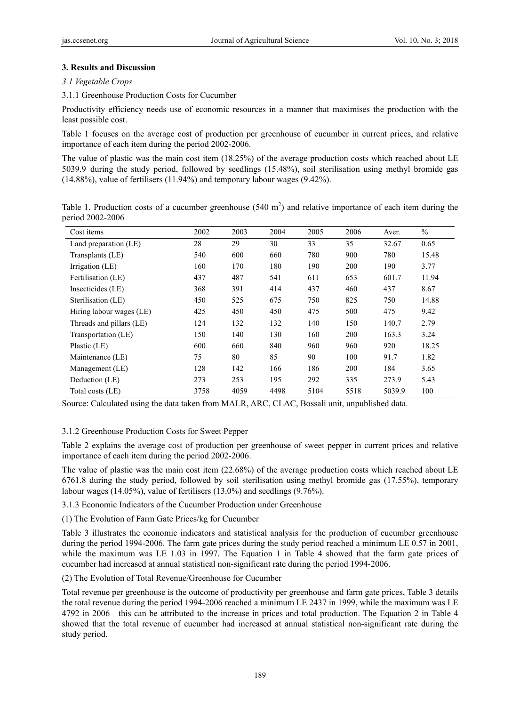## **3. Results and Discussion**

## *3.1 Vegetable Crops*

## 3.1.1 Greenhouse Production Costs for Cucumber

Productivity efficiency needs use of economic resources in a manner that maximises the production with the least possible cost.

Table 1 focuses on the average cost of production per greenhouse of cucumber in current prices, and relative importance of each item during the period 2002-2006.

The value of plastic was the main cost item (18.25%) of the average production costs which reached about LE 5039.9 during the study period, followed by seedlings (15.48%), soil sterilisation using methyl bromide gas (14.88%), value of fertilisers (11.94%) and temporary labour wages (9.42%).

Table 1. Production costs of a cucumber greenhouse  $(540 \text{ m}^2)$  and relative importance of each item during the period 2002-2006

| Cost items               | 2002 | 2003 | 2004 | 2005 | 2006 | Aver.  | $\%$  |
|--------------------------|------|------|------|------|------|--------|-------|
| Land preparation (LE)    | 28   | 29   | 30   | 33   | 35   | 32.67  | 0.65  |
| Transplants (LE)         | 540  | 600  | 660  | 780  | 900  | 780    | 15.48 |
| Irrigation (LE)          | 160  | 170  | 180  | 190  | 200  | 190    | 3.77  |
| Fertilisation (LE)       | 437  | 487  | 541  | 611  | 653  | 601.7  | 11.94 |
| Insecticides (LE)        | 368  | 391  | 414  | 437  | 460  | 437    | 8.67  |
| Sterilisation (LE)       | 450  | 525  | 675  | 750  | 825  | 750    | 14.88 |
| Hiring labour wages (LE) | 425  | 450  | 450  | 475  | 500  | 475    | 9.42  |
| Threads and pillars (LE) | 124  | 132  | 132  | 140  | 150  | 140.7  | 2.79  |
| Transportation (LE)      | 150  | 140  | 130  | 160  | 200  | 163.3  | 3.24  |
| Plastic (LE)             | 600  | 660  | 840  | 960  | 960  | 920    | 18.25 |
| Maintenance (LE)         | 75   | 80   | 85   | 90   | 100  | 91.7   | 1.82  |
| Management (LE)          | 128  | 142  | 166  | 186  | 200  | 184    | 3.65  |
| Deduction (LE)           | 273  | 253  | 195  | 292  | 335  | 273.9  | 5.43  |
| Total costs (LE)         | 3758 | 4059 | 4498 | 5104 | 5518 | 5039.9 | 100   |

Source: Calculated using the data taken from MALR, ARC, CLAC, Bossali unit, unpublished data.

## 3.1.2 Greenhouse Production Costs for Sweet Pepper

Table 2 explains the average cost of production per greenhouse of sweet pepper in current prices and relative importance of each item during the period 2002-2006.

The value of plastic was the main cost item (22.68%) of the average production costs which reached about LE 6761.8 during the study period, followed by soil sterilisation using methyl bromide gas (17.55%), temporary labour wages (14.05%), value of fertilisers (13.0%) and seedlings (9.76%).

3.1.3 Economic Indicators of the Cucumber Production under Greenhouse

(1) The Evolution of Farm Gate Prices/kg for Cucumber

Table 3 illustrates the economic indicators and statistical analysis for the production of cucumber greenhouse during the period 1994-2006. The farm gate prices during the study period reached a minimum LE 0.57 in 2001, while the maximum was LE 1.03 in 1997. The Equation 1 in Table 4 showed that the farm gate prices of cucumber had increased at annual statistical non-significant rate during the period 1994-2006.

(2) The Evolution of Total Revenue/Greenhouse for Cucumber

Total revenue per greenhouse is the outcome of productivity per greenhouse and farm gate prices, Table 3 details the total revenue during the period 1994-2006 reached a minimum LE 2437 in 1999, while the maximum was LE 4792 in 2006—this can be attributed to the increase in prices and total production. The Equation 2 in Table 4 showed that the total revenue of cucumber had increased at annual statistical non-significant rate during the study period.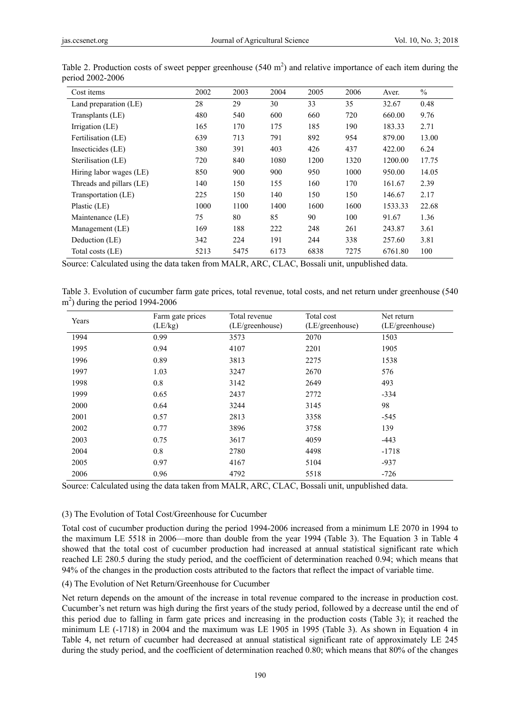| Cost items               | 2002 | 2003 | 2004 | 2005 | 2006 | Aver.   | $\%$  |
|--------------------------|------|------|------|------|------|---------|-------|
| Land preparation (LE)    | 28   | 29   | 30   | 33   | 35   | 32.67   | 0.48  |
| Transplants (LE)         | 480  | 540  | 600  | 660  | 720  | 660.00  | 9.76  |
| Irrigation (LE)          | 165  | 170  | 175  | 185  | 190  | 183.33  | 2.71  |
| Fertilisation (LE)       | 639  | 713  | 791  | 892  | 954  | 879.00  | 13.00 |
| Insecticides (LE)        | 380  | 391  | 403  | 426  | 437  | 422.00  | 6.24  |
| Sterilisation (LE)       | 720  | 840  | 1080 | 1200 | 1320 | 1200.00 | 17.75 |
| Hiring labor wages (LE)  | 850  | 900  | 900  | 950  | 1000 | 950.00  | 14.05 |
| Threads and pillars (LE) | 140  | 150  | 155  | 160  | 170  | 161.67  | 2.39  |
| Transportation (LE)      | 225  | 150  | 140  | 150  | 150  | 146.67  | 2.17  |
| Plastic (LE)             | 1000 | 1100 | 1400 | 1600 | 1600 | 1533.33 | 22.68 |
| Maintenance (LE)         | 75   | 80   | 85   | 90   | 100  | 91.67   | 1.36  |
| Management (LE)          | 169  | 188  | 222  | 248  | 261  | 243.87  | 3.61  |
| Deduction (LE)           | 342  | 224  | 191  | 244  | 338  | 257.60  | 3.81  |
| Total costs (LE)         | 5213 | 5475 | 6173 | 6838 | 7275 | 6761.80 | 100   |

Table 2. Production costs of sweet pepper greenhouse  $(540 \text{ m}^2)$  and relative importance of each item during the period 2002-2006

Source: Calculated using the data taken from MALR, ARC, CLAC, Bossali unit, unpublished data.

Table 3. Evolution of cucumber farm gate prices, total revenue, total costs, and net return under greenhouse (540  $\text{m}^2$ ) during the period 1994-2006

| Years | Farm gate prices | Total revenue   | Total cost      | Net return      |
|-------|------------------|-----------------|-----------------|-----------------|
|       | (LE/kg)          | (LE/greenhouse) | (LE/greenhouse) | (LE/greenhouse) |
| 1994  | 0.99             | 3573            | 2070            | 1503            |
| 1995  | 0.94             | 4107            | 2201            | 1905            |
| 1996  | 0.89             | 3813            | 2275            | 1538            |
| 1997  | 1.03             | 3247            | 2670            | 576             |
| 1998  | 0.8              | 3142            | 2649            | 493             |
| 1999  | 0.65             | 2437            | 2772            | $-334$          |
| 2000  | 0.64             | 3244            | 3145            | 98              |
| 2001  | 0.57             | 2813            | 3358            | $-545$          |
| 2002  | 0.77             | 3896            | 3758            | 139             |
| 2003  | 0.75             | 3617            | 4059            | $-443$          |
| 2004  | 0.8              | 2780            | 4498            | $-1718$         |
| 2005  | 0.97             | 4167            | 5104            | $-937$          |
| 2006  | 0.96             | 4792            | 5518            | $-726$          |

Source: Calculated using the data taken from MALR, ARC, CLAC, Bossali unit, unpublished data.

#### (3) The Evolution of Total Cost/Greenhouse for Cucumber

Total cost of cucumber production during the period 1994-2006 increased from a minimum LE 2070 in 1994 to the maximum LE 5518 in 2006—more than double from the year 1994 (Table 3). The Equation 3 in Table 4 showed that the total cost of cucumber production had increased at annual statistical significant rate which reached LE 280.5 during the study period, and the coefficient of determination reached 0.94; which means that 94% of the changes in the production costs attributed to the factors that reflect the impact of variable time.

## (4) The Evolution of Net Return/Greenhouse for Cucumber

Net return depends on the amount of the increase in total revenue compared to the increase in production cost. Cucumber's net return was high during the first years of the study period, followed by a decrease until the end of this period due to falling in farm gate prices and increasing in the production costs (Table 3); it reached the minimum LE (-1718) in 2004 and the maximum was LE 1905 in 1995 (Table 3). As shown in Equation 4 in Table 4, net return of cucumber had decreased at annual statistical significant rate of approximately LE 245 during the study period, and the coefficient of determination reached 0.80; which means that 80% of the changes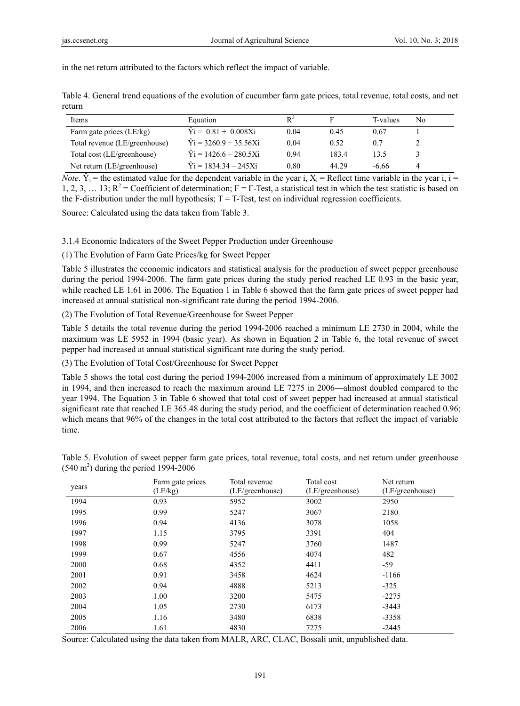in the net return attributed to the factors which reflect the impact of variable.

|        | Table 4. General trend equations of the evolution of cucumber farm gate prices, total revenue, total costs, and net |  |  |  |  |  |  |
|--------|---------------------------------------------------------------------------------------------------------------------|--|--|--|--|--|--|
| return |                                                                                                                     |  |  |  |  |  |  |

| Items                         | Equation                       | $R^2$ | ы     | T-values | No |
|-------------------------------|--------------------------------|-------|-------|----------|----|
| Farm gate prices (LE/kg)      | $\hat{Y}$ i = 0.81 + 0.008Xi   | 0.04  | 0.45  | 0.67     |    |
| Total revenue (LE/greenhouse) | $\hat{Y}_1 = 3260.9 + 35.56Xi$ | 0.04  | 0.52  | 0.7      |    |
| Total cost (LE/greenhouse)    | $\hat{Y}$ i = 1426.6 + 280.5Xi | 0.94  | 183.4 | 13.5     |    |
| Net return (LE/greenhouse)    | $\hat{Y}$ i = 1834.34 - 245Xi  | 0.80  | 44.29 | -6.66    | 4  |

*Note*.  $\hat{Y}_i$  = the estimated value for the dependent variable in the year i, X<sub>i</sub> = Reflect time variable in the year i, i = 1, 2, 3, ... 13;  $R^2$  = Coefficient of determination; F = F-Test, a statistical test in which the test statistic is based on the F-distribution under the null hypothesis;  $T = T$ -Test, test on individual regression coefficients.

Source: Calculated using the data taken from Table 3.

3.1.4 Economic Indicators of the Sweet Pepper Production under Greenhouse

(1) The Evolution of Farm Gate Prices/kg for Sweet Pepper

Table 5 illustrates the economic indicators and statistical analysis for the production of sweet pepper greenhouse during the period 1994-2006. The farm gate prices during the study period reached LE 0.93 in the basic year, while reached LE 1.61 in 2006. The Equation 1 in Table 6 showed that the farm gate prices of sweet pepper had increased at annual statistical non-significant rate during the period 1994-2006.

(2) The Evolution of Total Revenue/Greenhouse for Sweet Pepper

Table 5 details the total revenue during the period 1994-2006 reached a minimum LE 2730 in 2004, while the maximum was LE 5952 in 1994 (basic year). As shown in Equation 2 in Table 6, the total revenue of sweet pepper had increased at annual statistical significant rate during the study period.

(3) The Evolution of Total Cost/Greenhouse for Sweet Pepper

Table 5 shows the total cost during the period 1994-2006 increased from a minimum of approximately LE 3002 in 1994, and then increased to reach the maximum around LE 7275 in 2006—almost doubled compared to the year 1994. The Equation 3 in Table 6 showed that total cost of sweet pepper had increased at annual statistical significant rate that reached LE 365.48 during the study period, and the coefficient of determination reached 0.96; which means that 96% of the changes in the total cost attributed to the factors that reflect the impact of variable time.

| years | Farm gate prices | Total revenue   | Total cost      | Net return      |
|-------|------------------|-----------------|-----------------|-----------------|
|       | (LE/kg)          | (LE/greenhouse) | (LE/greenhouse) | (LE/greenhouse) |
| 1994  | 0.93             | 5952            | 3002            | 2950            |
| 1995  | 0.99             | 5247            | 3067            | 2180            |
| 1996  | 0.94             | 4136            | 3078            | 1058            |
| 1997  | 1.15             | 3795            | 3391            | 404             |
| 1998  | 0.99             | 5247            | 3760            | 1487            |
| 1999  | 0.67             | 4556            | 4074            | 482             |
| 2000  | 0.68             | 4352            | 4411            | -59             |
| 2001  | 0.91             | 3458            | 4624            | $-1166$         |
| 2002  | 0.94             | 4888            | 5213            | $-325$          |
| 2003  | 1.00             | 3200            | 5475            | $-2275$         |
| 2004  | 1.05             | 2730            | 6173            | $-3443$         |
| 2005  | 1.16             | 3480            | 6838            | $-3358$         |
| 2006  | 1.61             | 4830            | 7275            | $-2445$         |

Table 5. Evolution of sweet pepper farm gate prices, total revenue, total costs, and net return under greenhouse  $(540 \text{ m}^2)$  during the period 1994-2006

Source: Calculated using the data taken from MALR, ARC, CLAC, Bossali unit, unpublished data.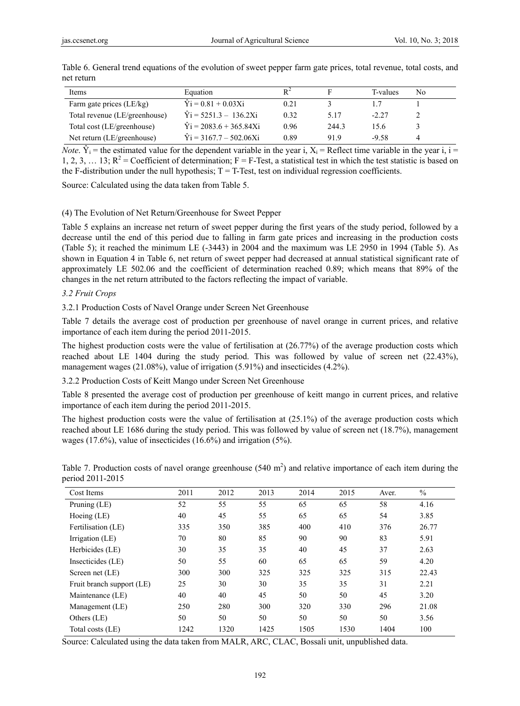| Items                         | Equation                        | $R^2$ |       | T-values | No |
|-------------------------------|---------------------------------|-------|-------|----------|----|
| Farm gate prices (LE/kg)      | $\hat{Y}$ i = 0.81 + 0.03Xi     | 0.21  |       |          |    |
| Total revenue (LE/greenhouse) | $\hat{Y}$ i = 5251.3 - 136.2Xi  | 0.32  | 5.17  | $-2.27$  |    |
| Total cost (LE/greenhouse)    | $\hat{Y}$ i = 2083.6 + 365.84Xi | 0.96  | 244.3 | 15.6     |    |
| Net return (LE/greenhouse)    | $\hat{Y}$ i = 3167.7 – 502.06Xi | 0.89  | 919   | -9.58    |    |

Table 6. General trend equations of the evolution of sweet pepper farm gate prices, total revenue, total costs, and net return

*Note*.  $\hat{Y}_i$  = the estimated value for the dependent variable in the year i, X<sub>i</sub> = Reflect time variable in the year i, i = 1, 2, 3, ... 13;  $R^2$  = Coefficient of determination; F = F-Test, a statistical test in which the test statistic is based on the F-distribution under the null hypothesis;  $T = T$ -Test, test on individual regression coefficients.

Source: Calculated using the data taken from Table 5.

#### (4) The Evolution of Net Return/Greenhouse for Sweet Pepper

Table 5 explains an increase net return of sweet pepper during the first years of the study period, followed by a decrease until the end of this period due to falling in farm gate prices and increasing in the production costs (Table 5); it reached the minimum LE (-3443) in 2004 and the maximum was LE 2950 in 1994 (Table 5). As shown in Equation 4 in Table 6, net return of sweet pepper had decreased at annual statistical significant rate of approximately LE 502.06 and the coefficient of determination reached 0.89; which means that 89% of the changes in the net return attributed to the factors reflecting the impact of variable.

## *3.2 Fruit Crops*

3.2.1 Production Costs of Navel Orange under Screen Net Greenhouse

Table 7 details the average cost of production per greenhouse of navel orange in current prices, and relative importance of each item during the period 2011-2015.

The highest production costs were the value of fertilisation at (26.77%) of the average production costs which reached about LE 1404 during the study period. This was followed by value of screen net (22.43%), management wages (21.08%), value of irrigation (5.91%) and insecticides (4.2%).

3.2.2 Production Costs of Keitt Mango under Screen Net Greenhouse

Table 8 presented the average cost of production per greenhouse of keitt mango in current prices, and relative importance of each item during the period 2011-2015.

The highest production costs were the value of fertilisation at (25.1%) of the average production costs which reached about LE 1686 during the study period. This was followed by value of screen net (18.7%), management wages (17.6%), value of insecticides (16.6%) and irrigation (5%).

| Cost Items                | 2011 | 2012 | 2013 | 2014 | 2015 | Aver. | $\frac{0}{0}$ |
|---------------------------|------|------|------|------|------|-------|---------------|
| Pruning $(LE)$            | 52   | 55   | 55   | 65   | 65   | 58    | 4.16          |
| Hoeing $(LE)$             | 40   | 45   | 55   | 65   | 65   | 54    | 3.85          |
| Fertilisation (LE)        | 335  | 350  | 385  | 400  | 410  | 376   | 26.77         |
| Irrigation (LE)           | 70   | 80   | 85   | 90   | 90   | 83    | 5.91          |
| Herbicides (LE)           | 30   | 35   | 35   | 40   | 45   | 37    | 2.63          |
| Insecticides (LE)         | 50   | 55   | 60   | 65   | 65   | 59    | 4.20          |
| Screen net (LE)           | 300  | 300  | 325  | 325  | 325  | 315   | 22.43         |
| Fruit branch support (LE) | 25   | 30   | 30   | 35   | 35   | 31    | 2.21          |
| Maintenance (LE)          | 40   | 40   | 45   | 50   | 50   | 45    | 3.20          |
| Management (LE)           | 250  | 280  | 300  | 320  | 330  | 296   | 21.08         |
| Others (LE)               | 50   | 50   | 50   | 50   | 50   | 50    | 3.56          |
| Total costs (LE)          | 1242 | 1320 | 1425 | 1505 | 1530 | 1404  | 100           |

Table 7. Production costs of navel orange greenhouse  $(540 \text{ m}^2)$  and relative importance of each item during the period 2011-2015

Source: Calculated using the data taken from MALR, ARC, CLAC, Bossali unit, unpublished data.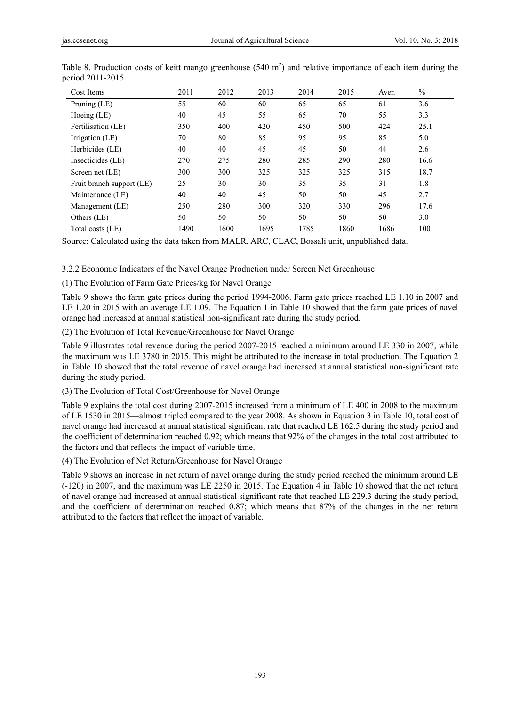| Cost Items                | 2011 | 2012 | 2013 | 2014 | 2015 | Aver. | $\frac{0}{0}$ |
|---------------------------|------|------|------|------|------|-------|---------------|
| Pruning (LE)              | 55   | 60   | 60   | 65   | 65   | 61    | 3.6           |
| Hoeing $(LE)$             | 40   | 45   | 55   | 65   | 70   | 55    | 3.3           |
| Fertilisation (LE)        | 350  | 400  | 420  | 450  | 500  | 424   | 25.1          |
| Irrigation (LE)           | 70   | 80   | 85   | 95   | 95   | 85    | 5.0           |
| Herbicides (LE)           | 40   | 40   | 45   | 45   | 50   | 44    | 2.6           |
| Insecticides (LE)         | 270  | 275  | 280  | 285  | 290  | 280   | 16.6          |
| Screen net (LE)           | 300  | 300  | 325  | 325  | 325  | 315   | 18.7          |
| Fruit branch support (LE) | 25   | 30   | 30   | 35   | 35   | 31    | 1.8           |
| Maintenance (LE)          | 40   | 40   | 45   | 50   | 50   | 45    | 2.7           |
| Management (LE)           | 250  | 280  | 300  | 320  | 330  | 296   | 17.6          |
| Others (LE)               | 50   | 50   | 50   | 50   | 50   | 50    | 3.0           |
| Total costs (LE)          | 1490 | 1600 | 1695 | 1785 | 1860 | 1686  | 100           |

| Table 8. Production costs of keitt mango greenhouse $(540 \text{ m}^2)$ and relative importance of each item during the |  |  |  |  |
|-------------------------------------------------------------------------------------------------------------------------|--|--|--|--|
| period 2011-2015                                                                                                        |  |  |  |  |

Source: Calculated using the data taken from MALR, ARC, CLAC, Bossali unit, unpublished data.

3.2.2 Economic Indicators of the Navel Orange Production under Screen Net Greenhouse

(1) The Evolution of Farm Gate Prices/kg for Navel Orange

Table 9 shows the farm gate prices during the period 1994-2006. Farm gate prices reached LE 1.10 in 2007 and LE 1.20 in 2015 with an average LE 1.09. The Equation 1 in Table 10 showed that the farm gate prices of navel orange had increased at annual statistical non-significant rate during the study period.

(2) The Evolution of Total Revenue/Greenhouse for Navel Orange

Table 9 illustrates total revenue during the period 2007-2015 reached a minimum around LE 330 in 2007, while the maximum was LE 3780 in 2015. This might be attributed to the increase in total production. The Equation 2 in Table 10 showed that the total revenue of navel orange had increased at annual statistical non-significant rate during the study period.

(3) The Evolution of Total Cost/Greenhouse for Navel Orange

Table 9 explains the total cost during 2007-2015 increased from a minimum of LE 400 in 2008 to the maximum of LE 1530 in 2015—almost tripled compared to the year 2008. As shown in Equation 3 in Table 10, total cost of navel orange had increased at annual statistical significant rate that reached LE 162.5 during the study period and the coefficient of determination reached 0.92; which means that 92% of the changes in the total cost attributed to the factors and that reflects the impact of variable time.

(4) The Evolution of Net Return/Greenhouse for Navel Orange

Table 9 shows an increase in net return of navel orange during the study period reached the minimum around LE (-120) in 2007, and the maximum was LE 2250 in 2015. The Equation 4 in Table 10 showed that the net return of navel orange had increased at annual statistical significant rate that reached LE 229.3 during the study period, and the coefficient of determination reached 0.87; which means that 87% of the changes in the net return attributed to the factors that reflect the impact of variable.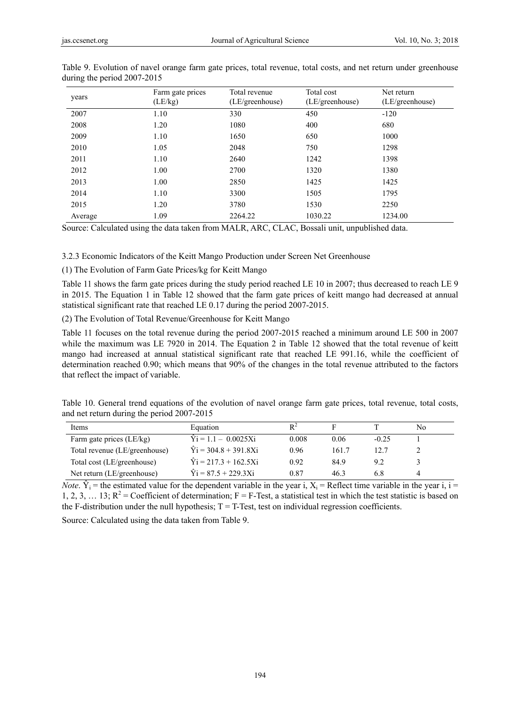| years   | Farm gate prices<br>(LE/kg) | Total revenue<br>(LE/greenhouse) | Total cost<br>(LE/greenhouse) | Net return<br>(LE/greenhouse) |
|---------|-----------------------------|----------------------------------|-------------------------------|-------------------------------|
| 2007    | 1.10                        | 330                              | 450                           | $-120$                        |
| 2008    | 1.20                        | 1080                             | 400                           | 680                           |
| 2009    | 1.10                        | 1650                             | 650                           | 1000                          |
| 2010    | 1.05                        | 2048                             | 750                           | 1298                          |
| 2011    | 1.10                        | 2640                             | 1242                          | 1398                          |
| 2012    | 1.00                        | 2700                             | 1320                          | 1380                          |
| 2013    | 1.00                        | 2850                             | 1425                          | 1425                          |
| 2014    | 1.10                        | 3300                             | 1505                          | 1795                          |
| 2015    | 1.20                        | 3780                             | 1530                          | 2250                          |
| Average | 1.09                        | 2264.22                          | 1030.22                       | 1234.00                       |

Table 9. Evolution of navel orange farm gate prices, total revenue, total costs, and net return under greenhouse during the period 2007-2015

Source: Calculated using the data taken from MALR, ARC, CLAC, Bossali unit, unpublished data.

3.2.3 Economic Indicators of the Keitt Mango Production under Screen Net Greenhouse

(1) The Evolution of Farm Gate Prices/kg for Keitt Mango

Table 11 shows the farm gate prices during the study period reached LE 10 in 2007; thus decreased to reach LE 9 in 2015. The Equation 1 in Table 12 showed that the farm gate prices of keitt mango had decreased at annual statistical significant rate that reached LE 0.17 during the period 2007-2015.

(2) The Evolution of Total Revenue/Greenhouse for Keitt Mango

Table 11 focuses on the total revenue during the period 2007-2015 reached a minimum around LE 500 in 2007 while the maximum was LE 7920 in 2014. The Equation 2 in Table 12 showed that the total revenue of keitt mango had increased at annual statistical significant rate that reached LE 991.16, while the coefficient of determination reached 0.90; which means that 90% of the changes in the total revenue attributed to the factors that reflect the impact of variable.

| Table 10. General trend equations of the evolution of navel orange farm gate prices, total revenue, total costs, |  |  |  |  |  |  |  |
|------------------------------------------------------------------------------------------------------------------|--|--|--|--|--|--|--|
| and net return during the period 2007-2015                                                                       |  |  |  |  |  |  |  |

| Items                         | Equation                      |       |       |         | No |
|-------------------------------|-------------------------------|-------|-------|---------|----|
| Farm gate prices (LE/kg)      | $\hat{Y}$ i = 1.1 - 0.0025Xi  | 0.008 | 0.06  | $-0.25$ |    |
| Total revenue (LE/greenhouse) | $\hat{Y}$ i = 304.8 + 391.8Xi | 0.96  | 161.7 | 12. 7   |    |
| Total cost (LE/greenhouse)    | $\hat{Y}$ i = 217.3 + 162.5Xi | 0.92  | 84.9  | 9.2     |    |
| Net return (LE/greenhouse)    | $\hat{Y}$ i = 87.5 + 229.3Xi  | 0.87  | 46.3  | 6.8     | 4  |

*Note*.  $\hat{Y}_i$  = the estimated value for the dependent variable in the year i, X<sub>i</sub> = Reflect time variable in the year i,  $i =$ 1, 2, 3, ... 13;  $R^2$  = Coefficient of determination; F = F-Test, a statistical test in which the test statistic is based on the F-distribution under the null hypothesis;  $T = T$ -Test, test on individual regression coefficients.

Source: Calculated using the data taken from Table 9.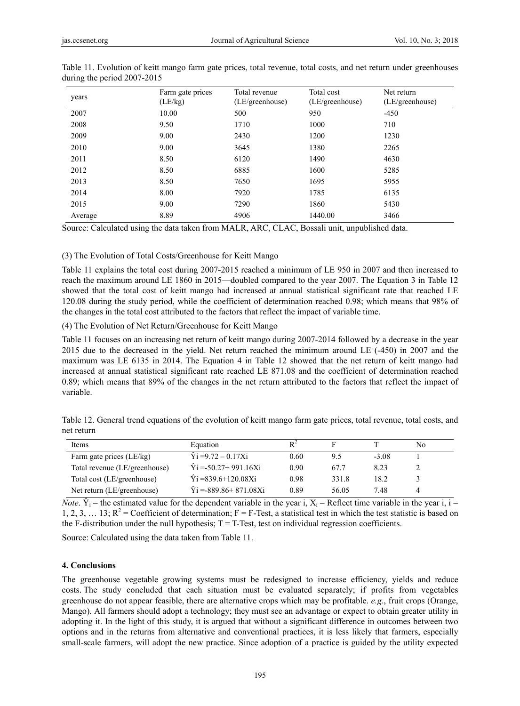| years   | Farm gate prices<br>(LE/kg) | Total revenue<br>(LE/greenhouse) | Total cost<br>(LE/greenhouse) | Net return<br>(LE/greenhouse) |
|---------|-----------------------------|----------------------------------|-------------------------------|-------------------------------|
| 2007    | 10.00                       | 500                              | 950                           | $-450$                        |
| 2008    | 9.50                        | 1710                             | 1000                          | 710                           |
| 2009    | 9.00                        | 2430                             | 1200                          | 1230                          |
| 2010    | 9.00                        | 3645                             | 1380                          | 2265                          |
| 2011    | 8.50                        | 6120                             | 1490                          | 4630                          |
| 2012    | 8.50                        | 6885                             | 1600                          | 5285                          |
| 2013    | 8.50                        | 7650                             | 1695                          | 5955                          |
| 2014    | 8.00                        | 7920                             | 1785                          | 6135                          |
| 2015    | 9.00                        | 7290                             | 1860                          | 5430                          |
| Average | 8.89                        | 4906                             | 1440.00                       | 3466                          |

Table 11. Evolution of keitt mango farm gate prices, total revenue, total costs, and net return under greenhouses during the period 2007-2015

Source: Calculated using the data taken from MALR, ARC, CLAC, Bossali unit, unpublished data.

(3) The Evolution of Total Costs/Greenhouse for Keitt Mango

Table 11 explains the total cost during 2007-2015 reached a minimum of LE 950 in 2007 and then increased to reach the maximum around LE 1860 in 2015—doubled compared to the year 2007. The Equation 3 in Table 12 showed that the total cost of keitt mango had increased at annual statistical significant rate that reached LE 120.08 during the study period, while the coefficient of determination reached 0.98; which means that 98% of the changes in the total cost attributed to the factors that reflect the impact of variable time.

(4) The Evolution of Net Return/Greenhouse for Keitt Mango

Table 11 focuses on an increasing net return of keitt mango during 2007-2014 followed by a decrease in the year 2015 due to the decreased in the yield. Net return reached the minimum around LE (-450) in 2007 and the maximum was LE 6135 in 2014. The Equation 4 in Table 12 showed that the net return of keitt mango had increased at annual statistical significant rate reached LE 871.08 and the coefficient of determination reached 0.89; which means that 89% of the changes in the net return attributed to the factors that reflect the impact of variable.

Table 12. General trend equations of the evolution of keitt mango farm gate prices, total revenue, total costs, and net return

| Items                         | Equation                       | D 4  |       |         | No |
|-------------------------------|--------------------------------|------|-------|---------|----|
| Farm gate prices (LE/kg)      | $\hat{Y}$ i =9.72 – 0.17Xi     | 0.60 | 9.5   | $-3.08$ |    |
| Total revenue (LE/greenhouse) | $\hat{Y}$ i = -50.27+ 991.16Xi | 0.90 | 67.7  | 8.23    |    |
| Total cost (LE/greenhouse)    | $\hat{Y}$ i =839.6+120.08Xi    | 0.98 | 331.8 | 18.2    |    |
| Net return (LE/greenhouse)    | $\hat{Y}$ i = -889.86+871.08Xi | 0.89 | 56.05 | 7.48    | 4  |

*Note*.  $\hat{Y}_i$  = the estimated value for the dependent variable in the year i, X<sub>i</sub> = Reflect time variable in the year i, i = 1, 2, 3, ... 13;  $R^2$  = Coefficient of determination; F = F-Test, a statistical test in which the test statistic is based on the F-distribution under the null hypothesis;  $T = T$ -Test, test on individual regression coefficients.

Source: Calculated using the data taken from Table 11.

# **4. Conclusions**

The greenhouse vegetable growing systems must be redesigned to increase efficiency, yields and reduce costs. The study concluded that each situation must be evaluated separately; if profits from vegetables greenhouse do not appear feasible, there are alternative crops which may be profitable. *e.g.*, fruit crops (Orange, Mango). All farmers should adopt a technology; they must see an advantage or expect to obtain greater utility in adopting it. In the light of this study, it is argued that without a significant difference in outcomes between two options and in the returns from alternative and conventional practices, it is less likely that farmers, especially small-scale farmers, will adopt the new practice. Since adoption of a practice is guided by the utility expected